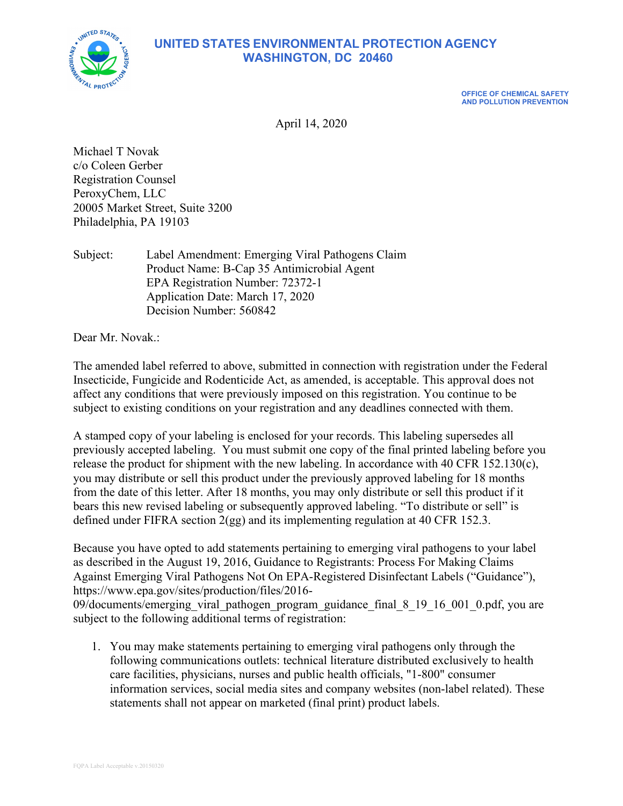

## **UNITED STATES ENVIRONMENTAL PROTECTION AGENCY WASHINGTON, DC 20460**

**OFFICE OF CHEMICAL SAFETY AND POLLUTION PREVENTION**

April 14, 2020

Michael T Novak c/o Coleen Gerber Registration Counsel PeroxyChem, LLC 20005 Market Street, Suite 3200 Philadelphia, PA 19103

Subject: Label Amendment: Emerging Viral Pathogens Claim Product Name: B-Cap 35 Antimicrobial Agent EPA Registration Number: 72372-1 Application Date: March 17, 2020 Decision Number: 560842

Dear Mr. Novak.:

The amended label referred to above, submitted in connection with registration under the Federal Insecticide, Fungicide and Rodenticide Act, as amended, is acceptable. This approval does not affect any conditions that were previously imposed on this registration. You continue to be subject to existing conditions on your registration and any deadlines connected with them.

A stamped copy of your labeling is enclosed for your records. This labeling supersedes all previously accepted labeling. You must submit one copy of the final printed labeling before you release the product for shipment with the new labeling. In accordance with 40 CFR 152.130(c), you may distribute or sell this product under the previously approved labeling for 18 months from the date of this letter. After 18 months, you may only distribute or sell this product if it bears this new revised labeling or subsequently approved labeling. "To distribute or sell" is defined under FIFRA section 2(gg) and its implementing regulation at 40 CFR 152.3.

Because you have opted to add statements pertaining to emerging viral pathogens to your label as described in the August 19, 2016, Guidance to Registrants: Process For Making Claims Against Emerging Viral Pathogens Not On EPA-Registered Disinfectant Labels ("Guidance"), https://www.epa.gov/sites/production/files/2016-

09/documents/emerging\_viral\_pathogen\_program\_guidance\_final\_8\_19\_16\_001\_0.pdf, you are subject to the following additional terms of registration:

1. You may make statements pertaining to emerging viral pathogens only through the following communications outlets: technical literature distributed exclusively to health care facilities, physicians, nurses and public health officials, "1-800" consumer information services, social media sites and company websites (non-label related). These statements shall not appear on marketed (final print) product labels.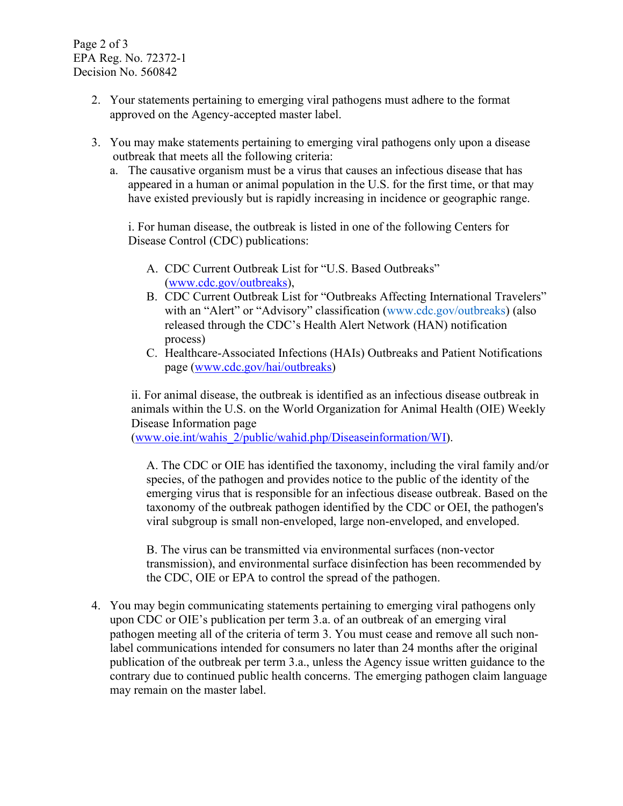Page 2 of 3 EPA Reg. No. 72372-1 Decision No. 560842

- 2. Your statements pertaining to emerging viral pathogens must adhere to the format approved on the Agency-accepted master label.
- 3. You may make statements pertaining to emerging viral pathogens only upon a disease outbreak that meets all the following criteria:
	- a. The causative organism must be a virus that causes an infectious disease that has appeared in a human or animal population in the U.S. for the first time, or that may have existed previously but is rapidly increasing in incidence or geographic range.

i. For human disease, the outbreak is listed in one of the following Centers for Disease Control (CDC) publications:

- A. CDC Current Outbreak List for "U.S. Based Outbreaks" [\(www.cdc.gov/outbreaks\)](http://www.cdc.gov/outbreaks),
- B. CDC Current Outbreak List for "Outbreaks Affecting International Travelers" with an "Alert" or "Advisory" classification (www.cdc.gov/outbreaks) (also released through the CDC's Health Alert Network (HAN) notification process)
- C. Healthcare-Associated Infections (HAIs) Outbreaks and Patient Notifications page [\(www.cdc.gov/hai/outbreaks\)](http://www.cdc.gov/hai/outbreaks)

ii. For animal disease, the outbreak is identified as an infectious disease outbreak in animals within the U.S. on the World Organization for Animal Health (OIE) Weekly Disease Information page

[\(www.oie.int/wahis\\_2/public/wahid.php/Diseaseinformation/WI\)](http://www.oie.int/wahis_2/public/wahid.php/Diseaseinformation/WI).

A. The CDC or OIE has identified the taxonomy, including the viral family and/or species, of the pathogen and provides notice to the public of the identity of the emerging virus that is responsible for an infectious disease outbreak. Based on the taxonomy of the outbreak pathogen identified by the CDC or OEI, the pathogen's viral subgroup is small non-enveloped, large non-enveloped, and enveloped.

B. The virus can be transmitted via environmental surfaces (non-vector transmission), and environmental surface disinfection has been recommended by the CDC, OIE or EPA to control the spread of the pathogen.

4. You may begin communicating statements pertaining to emerging viral pathogens only upon CDC or OIE's publication per term 3.a. of an outbreak of an emerging viral pathogen meeting all of the criteria of term 3. You must cease and remove all such nonlabel communications intended for consumers no later than 24 months after the original publication of the outbreak per term 3.a., unless the Agency issue written guidance to the contrary due to continued public health concerns. The emerging pathogen claim language may remain on the master label.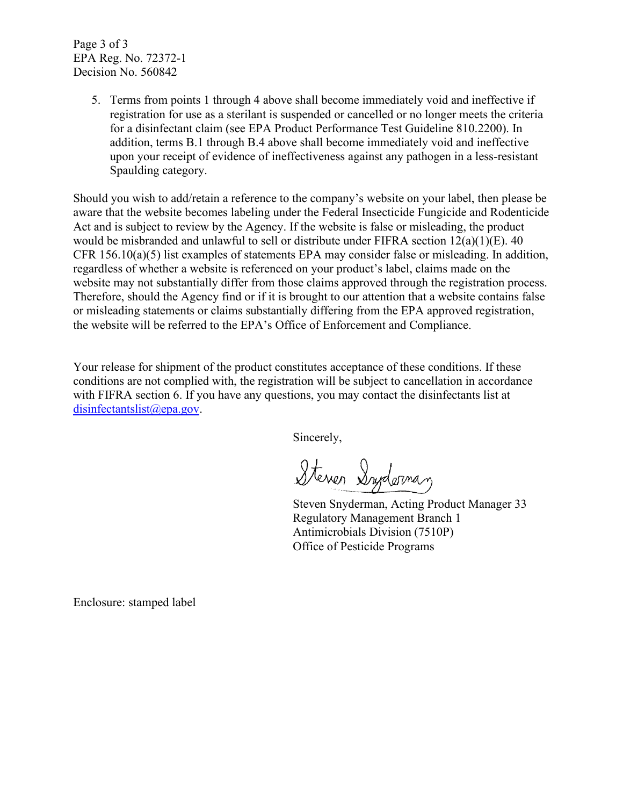Page 3 of 3 EPA Reg. No. 72372-1 Decision No. 560842

> 5. Terms from points 1 through 4 above shall become immediately void and ineffective if registration for use as a sterilant is suspended or cancelled or no longer meets the criteria for a disinfectant claim (see EPA Product Performance Test Guideline 810.2200). In addition, terms B.1 through B.4 above shall become immediately void and ineffective upon your receipt of evidence of ineffectiveness against any pathogen in a less-resistant Spaulding category.

Should you wish to add/retain a reference to the company's website on your label, then please be aware that the website becomes labeling under the Federal Insecticide Fungicide and Rodenticide Act and is subject to review by the Agency. If the website is false or misleading, the product would be misbranded and unlawful to sell or distribute under FIFRA section 12(a)(1)(E). 40 CFR 156.10(a)(5) list examples of statements EPA may consider false or misleading. In addition, regardless of whether a website is referenced on your product's label, claims made on the website may not substantially differ from those claims approved through the registration process. Therefore, should the Agency find or if it is brought to our attention that a website contains false or misleading statements or claims substantially differing from the EPA approved registration, the website will be referred to the EPA's Office of Enforcement and Compliance.

Your release for shipment of the product constitutes acceptance of these conditions. If these conditions are not complied with, the registration will be subject to cancellation in accordance with FIFRA section 6. If you have any questions, you may contact the disinfectants list at [disinfectantslist@epa.gov.](mailto:disinfectantslist@epa.gov)

Sincerely,

Steven Syderman

Steven Snyderman, Acting Product Manager 33 Regulatory Management Branch 1 Antimicrobials Division (7510P) Office of Pesticide Programs

Enclosure: stamped label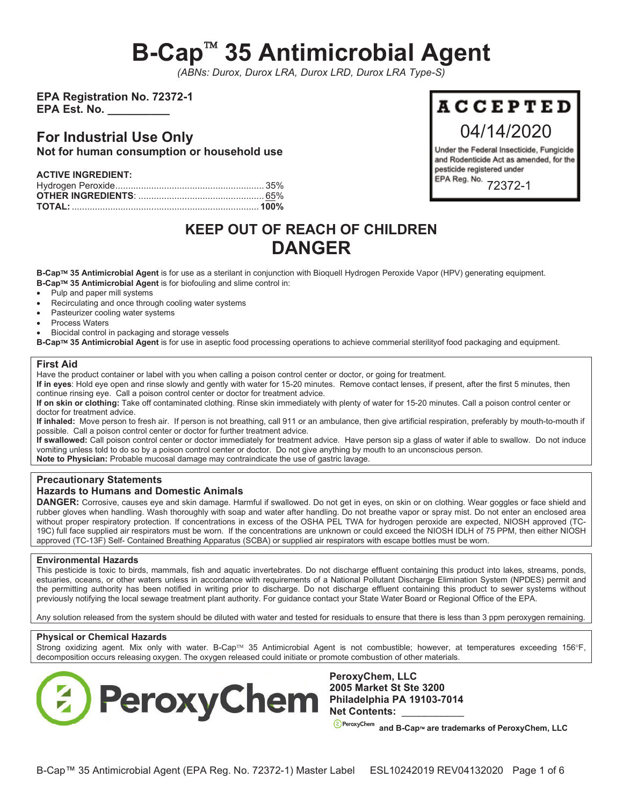# **B-Cap 35 Antimicrobial Agent**

*(ABNs: Durox, Durox LRA, Durox LRD, Durox LRA Type-S)* 

**EPA Registration No. 72372-1 EPA Est. No.** 

## **For Industrial Use Only Not for human consumption or household use**

| <b>ACTIVE INGREDIENT:</b> |  |
|---------------------------|--|
|                           |  |
|                           |  |
|                           |  |

# **KEEP OUT OF REACH OF CHILDREN DANGER**

**B-Cap 35 Antimicrobial Agent** is for use as a sterilant in conjunction with Bioquell Hydrogen Peroxide Vapor (HPV) generating equipment. **B-Cap 35 Antimicrobial Agent** is for biofouling and slime control in:

- Pulp and paper mill systems
- Recirculating and once through cooling water systems
- Pasteurizer cooling water systems
- Process Waters
- Biocidal control in packaging and storage vessels

**B-Cap 35 Antimicrobial Agent** is for use in aseptic food processing operations to achieve commerial sterilityof food packaging and equipment.

#### **First Aid**

Have the product container or label with you when calling a poison control center or doctor, or going for treatment.

**If in eyes**: Hold eye open and rinse slowly and gently with water for 15-20 minutes. Remove contact lenses, if present, after the first 5 minutes, then continue rinsing eye. Call a poison control center or doctor for treatment advice.

**If on skin or clothing:** Take off contaminated clothing. Rinse skin immediately with plenty of water for 15-20 minutes. Call a poison control center or doctor for treatment advice.

**If inhaled:** Move person to fresh air. If person is not breathing, call 911 or an ambulance, then give artificial respiration, preferably by mouth-to-mouth if possible.Call a poison control center or doctor for further treatment advice.

**If swallowed:** Call poison control center or doctor immediately for treatment advice.Have person sip a glass of water if able to swallow.Do not induce vomiting unless told to do so by a poison control center or doctor. Do not give anything by mouth to an unconscious person. **Note to Physician:** Probable mucosal damage may contraindicate the use of gastric lavage.

#### **Precautionary Statements**

#### **Hazards to Humans and Domestic Animals**

**DANGER:** Corrosive, causes eye and skin damage. Harmful if swallowed. Do not get in eyes, on skin or on clothing. Wear goggles or face shield and rubber gloves when handling. Wash thoroughly with soap and water after handling. Do not breathe vapor or spray mist. Do not enter an enclosed area without proper respiratory protection. If concentrations in excess of the OSHA PEL TWA for hydrogen peroxide are expected, NIOSH approved (TC-19C) full face supplied air respirators must be worn. If the concentrations are unknown or could exceed the NIOSH IDLH of 75 PPM, then either NIOSH approved (TC-13F) Self- Contained Breathing Apparatus (SCBA) or supplied air respirators with escape bottles must be worn.

#### **Environmental Hazards**

This pesticide is toxic to birds, mammals, fish and aquatic invertebrates. Do not discharge effluent containing this product into lakes, streams, ponds, estuaries, oceans, or other waters unless in accordance with requirements of a National Pollutant Discharge Elimination System (NPDES) permit and the permitting authority has been notified in writing prior to discharge. Do not discharge effluent containing this product to sewer systems without previously notifying the local sewage treatment plant authority. For guidance contact your State Water Board or Regional Office of the EPA.

Any solution released from the system should be diluted with water and tested for residuals to ensure that there is less than 3 ppm peroxygen remaining.

#### **Physical or Chemical Hazards**

Strong oxidizing agent. Mix only with water. B-Cap™ 35 Antimicrobial Agent is not combustible; however, at temperatures exceeding 156°F, decomposition occurs releasing oxygen. The oxygen released could initiate or promote combustion of other materials.



**PeroxyChem, LLC 2005 Market St Ste 3200 Philadelphia PA 19103-7014 Net Contents:** \_\_\_\_\_\_\_\_\_\_\_

**and B-Cap**¥ **are trademarks of PeroxyChem, LLC** 



Under the Federal Insecticide, Fungicide and Rodenticide Act as amended, for the pesticide registered under EPA Reg. No. 72372-1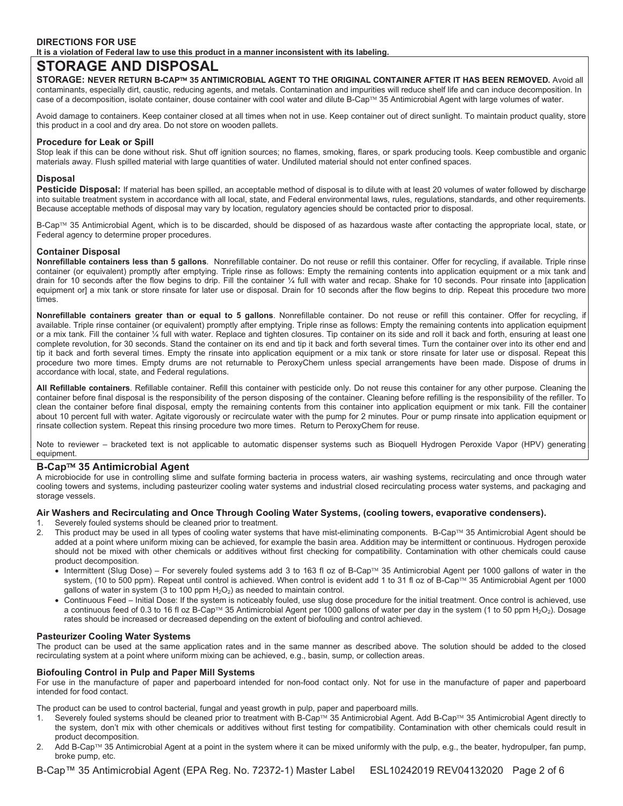#### **DIRECTIONS FOR USE**

**It is a violation of Federal law to use this product in a manner inconsistent with its labeling.** 

### **STORAGE AND DISPOSAL**

**STORAGE: NEVER RETURN B-CAP 35 ANTIMICROBIAL AGENT TO THE ORIGINAL CONTAINER AFTER IT HAS BEEN REMOVED.** Avoid all contaminants, especially dirt, caustic, reducing agents, and metals. Contamination and impurities will reduce shelf life and can induce decomposition. In case of a decomposition, isolate container, douse container with cool water and dilute B-Cap<sup>TM</sup> 35 Antimicrobial Agent with large volumes of water.

Avoid damage to containers. Keep container closed at all times when not in use. Keep container out of direct sunlight. To maintain product quality, store this product in a cool and dry area. Do not store on wooden pallets.

#### **Procedure for Leak or Spill**

Stop leak if this can be done without risk. Shut off ignition sources; no flames, smoking, flares, or spark producing tools. Keep combustible and organic materials away. Flush spilled material with large quantities of water. Undiluted material should not enter confined spaces.

#### **Disposal**

Pesticide Disposal: If material has been spilled, an acceptable method of disposal is to dilute with at least 20 volumes of water followed by discharge into suitable treatment system in accordance with all local, state, and Federal environmental laws, rules, regulations, standards, and other requirements. Because acceptable methods of disposal may vary by location, regulatory agencies should be contacted prior to disposal.

B-Cap™ 35 Antimicrobial Agent, which is to be discarded, should be disposed of as hazardous waste after contacting the appropriate local, state, or Federal agency to determine proper procedures.

#### **Container Disposal**

**Nonrefillable containers less than 5 gallons**. Nonrefillable container. Do not reuse or refill this container. Offer for recycling, if available. Triple rinse container (or equivalent) promptly after emptying. Triple rinse as follows: Empty the remaining contents into application equipment or a mix tank and drain for 10 seconds after the flow begins to drip. Fill the container ¼ full with water and recap. Shake for 10 seconds. Pour rinsate into [application equipment or] a mix tank or store rinsate for later use or disposal. Drain for 10 seconds after the flow begins to drip. Repeat this procedure two more times.

**Nonrefillable containers greater than or equal to 5 gallons**. Nonrefillable container. Do not reuse or refill this container. Offer for recycling, if available. Triple rinse container (or equivalent) promptly after emptying. Triple rinse as follows: Empty the remaining contents into application equipment or a mix tank. Fill the container ¼ full with water. Replace and tighten closures. Tip container on its side and roll it back and forth, ensuring at least one complete revolution, for 30 seconds. Stand the container on its end and tip it back and forth several times. Turn the container over into its other end and tip it back and forth several times. Empty the rinsate into application equipment or a mix tank or store rinsate for later use or disposal. Repeat this procedure two more times. Empty drums are not returnable to PeroxyChem unless special arrangements have been made. Dispose of drums in accordance with local, state, and Federal regulations.

**All Refillable containers**. Refillable container. Refill this container with pesticide only. Do not reuse this container for any other purpose. Cleaning the container before final disposal is the responsibility of the person disposing of the container. Cleaning before refilling is the responsibility of the refiller. To clean the container before final disposal, empty the remaining contents from this container into application equipment or mix tank. Fill the container about 10 percent full with water. Agitate vigorously or recirculate water with the pump for 2 minutes. Pour or pump rinsate into application equipment or rinsate collection system. Repeat this rinsing procedure two more times. Return to PeroxyChem for reuse.

Note to reviewer – bracketed text is not applicable to automatic dispenser systems such as Bioquell Hydrogen Peroxide Vapor (HPV) generating equipment.

#### **B-Cap 35 Antimicrobial Agent**

A microbiocide for use in controlling slime and sulfate forming bacteria in process waters, air washing systems, recirculating and once through water cooling towers and systems, including pasteurizer cooling water systems and industrial closed recirculating process water systems, and packaging and storage vessels.

#### **Air Washers and Recirculating and Once Through Cooling Water Systems, (cooling towers, evaporative condensers).**

- 1. Severely fouled systems should be cleaned prior to treatment.
- 2. This product may be used in all types of cooling water systems that have mist-eliminating components. B-Cap™ 35 Antimicrobial Agent should be added at a point where uniform mixing can be achieved, for example the basin area. Addition may be intermittent or continuous. Hydrogen peroxide should not be mixed with other chemicals or additives without first checking for compatibility. Contamination with other chemicals could cause product decomposition.
	- Intermittent (Slug Dose) For severely fouled systems add 3 to 163 fl oz of B-Cap™ 35 Antimicrobial Agent per 1000 gallons of water in the system, (10 to 500 ppm). Repeat until control is achieved. When control is evident add 1 to 31 fl oz of B-Cap™ 35 Antimicrobial Agent per 1000 gallons of water in system (3 to 100 ppm  $H_2O_2$ ) as needed to maintain control.
	- x Continuous Feed Initial Dose: If the system is noticeably fouled, use slug dose procedure for the initial treatment. Once control is achieved, use a continuous feed of 0.3 to 16 fl oz B-Cap<sup>TM</sup> 35 Antimicrobial Agent per 1000 gallons of water per day in the system (1 to 50 ppm H<sub>2</sub>O<sub>2</sub>). Dosage rates should be increased or decreased depending on the extent of biofouling and control achieved.

#### **Pasteurizer Cooling Water Systems**

The product can be used at the same application rates and in the same manner as described above. The solution should be added to the closed recirculating system at a point where uniform mixing can be achieved, e.g., basin, sump, or collection areas.

#### **Biofouling Control in Pulp and Paper Mill Systems**

For use in the manufacture of paper and paperboard intended for non-food contact only. Not for use in the manufacture of paper and paperboard intended for food contact.

The product can be used to control bacterial, fungal and yeast growth in pulp, paper and paperboard mills.

- Severely fouled systems should be cleaned prior to treatment with B-Cap<sup>TM</sup> 35 Antimicrobial Agent. Add B-Cap<sup>TM</sup> 35 Antimicrobial Agent directly to the system, don't mix with other chemicals or additives without first testing for compatibility. Contamination with other chemicals could result in product decomposition.
- Add B-Cap™ 35 Antimicrobial Agent at a point in the system where it can be mixed uniformly with the pulp, e.g., the beater, hydropulper, fan pump, broke pump, etc.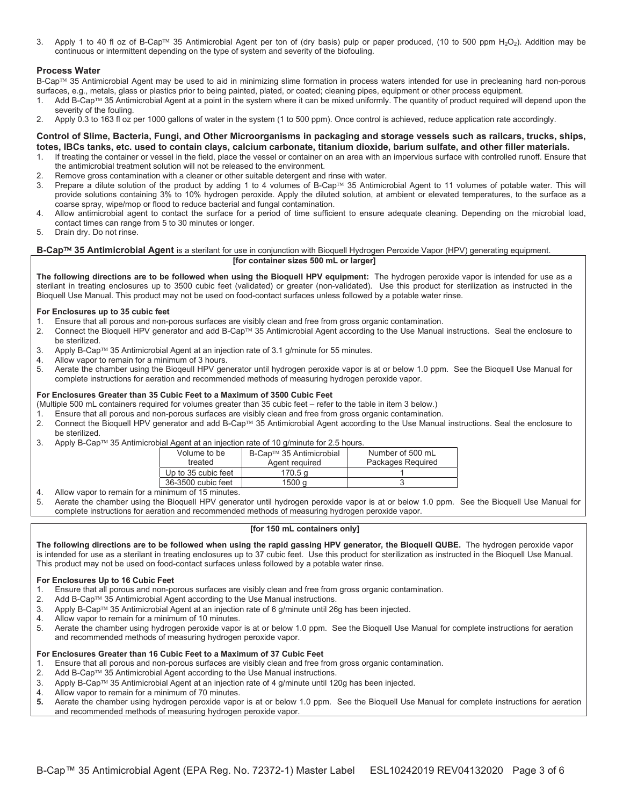3. Apply 1 to 40 fl oz of B-Cap<sup> $M$ </sup> 35 Antimicrobial Agent per ton of (dry basis) pulp or paper produced, (10 to 500 ppm H<sub>2</sub>O<sub>2</sub>). Addition may be continuous or intermittent depending on the type of system and severity of the biofouling.

#### **Process Water**

B-Cap™ 35 Antimicrobial Agent may be used to aid in minimizing slime formation in process waters intended for use in precleaning hard non-porous surfaces, e.g., metals, glass or plastics prior to being painted, plated, or coated; cleaning pipes, equipment or other process equipment.

- 1. Add B-Cap<sup>TM</sup> 35 Antimicrobial Agent at a point in the system where it can be mixed uniformly. The quantity of product required will depend upon the severity of the fouling.
- 2. Apply 0.3 to 163 fl oz per 1000 gallons of water in the system (1 to 500 ppm). Once control is achieved, reduce application rate accordingly.

#### **Control of Slime, Bacteria, Fungi, and Other Microorganisms in packaging and storage vessels such as railcars, trucks, ships, totes, IBCs tanks, etc. used to contain clays, calcium carbonate, titanium dioxide, barium sulfate, and other filler materials.**

- 1. If treating the container or vessel in the field, place the vessel or container on an area with an impervious surface with controlled runoff. Ensure that the antimicrobial treatment solution will not be released to the environment.
- 2. Remove gross contamination with a cleaner or other suitable detergent and rinse with water.
- 3. Prepare a dilute solution of the product by adding 1 to 4 volumes of B-Cap™ 35 Antimicrobial Agent to 11 volumes of potable water. This will provide solutions containing 3% to 10% hydrogen peroxide. Apply the diluted solution, at ambient or elevated temperatures, to the surface as a coarse spray, wipe/mop or flood to reduce bacterial and fungal contamination.
- 4. Allow antimicrobial agent to contact the surface for a period of time sufficient to ensure adequate cleaning. Depending on the microbial load, contact times can range from 5 to 30 minutes or longer.
- 5. Drain dry. Do not rinse.

#### **B-Cap<sup>™</sup> 35 Antimicrobial Agent** is a sterilant for use in conjunction with Bioquell Hydrogen Peroxide Vapor (HPV) generating equipment. **[for container sizes 500 mL or larger]**

**The following directions are to be followed when using the Bioquell HPV equipment:** The hydrogen peroxide vapor is intended for use as a sterilant in treating enclosures up to 3500 cubic feet (validated) or greater (non-validated). Use this product for sterilization as instructed in the Bioquell Use Manual. This product may not be used on food-contact surfaces unless followed by a potable water rinse.

#### **For Enclosures up to 35 cubic feet**

- 1. Ensure that all porous and non-porous surfaces are visibly clean and free from gross organic contamination.
- 2. Connect the Bioquell HPV generator and add B-Cap™ 35 Antimicrobial Agent according to the Use Manual instructions. Seal the enclosure to be sterilized.
- 3. Apply B-Cap™ 35 Antimicrobial Agent at an injection rate of 3.1 g/minute for 55 minutes.
- 4. Allow vapor to remain for a minimum of 3 hours.
- 5. Aerate the chamber using the Bioqeull HPV generator until hydrogen peroxide vapor is at or below 1.0 ppm. See the Bioquell Use Manual for complete instructions for aeration and recommended methods of measuring hydrogen peroxide vapor.

#### **For Enclosures Greater than 35 Cubic Feet to a Maximum of 3500 Cubic Feet**

- (Multiple 500 mL containers required for volumes greater than 35 cubic feet refer to the table in item 3 below.)
- 1. Ensure that all porous and non-porous surfaces are visibly clean and free from gross organic contamination.
- 2. Connect the Bioquell HPV generator and add B-Cap™ 35 Antimicrobial Agent according to the Use Manual instructions. Seal the enclosure to be sterilized.
- 3. Apply B-Cap<sup>TM</sup> 35 Antimicrobial Agent at an injection rate of 10 g/minute for 2.5 hours.

| Volume to be        | B-Cap™ 35 Antimicrobial | Number of 500 mL  |
|---------------------|-------------------------|-------------------|
| treated             | Agent required          | Packages Required |
| Up to 35 cubic feet | 170.5 a                 |                   |
| 36-3500 cubic feet  | 1500 a                  |                   |

4. Allow vapor to remain for a minimum of 15 minutes.

5. Aerate the chamber using the Bioquell HPV generator until hydrogen peroxide vapor is at or below 1.0 ppm. See the Bioquell Use Manual for complete instructions for aeration and recommended methods of measuring hydrogen peroxide vapor.

#### **[for 150 mL containers only]**

**The following directions are to be followed when using the rapid gassing HPV generator, the Bioquell QUBE.** The hydrogen peroxide vapor is intended for use as a sterilant in treating enclosures up to 37 cubic feet. Use this product for sterilization as instructed in the Bioquell Use Manual. This product may not be used on food-contact surfaces unless followed by a potable water rinse.

#### **For Enclosures Up to 16 Cubic Feet**

- 1. Ensure that all porous and non-porous surfaces are visibly clean and free from gross organic contamination.
- 2. Add B-Cap<sup>TM</sup> 35 Antimicrobial Agent according to the Use Manual instructions.
- 3. Apply B-Cap™ 35 Antimicrobial Agent at an injection rate of 6 g/minute until 26g has been injected.
- 4. Allow vapor to remain for a minimum of 10 minutes.
- 5. Aerate the chamber using hydrogen peroxide vapor is at or below 1.0 ppm. See the Bioquell Use Manual for complete instructions for aeration and recommended methods of measuring hydrogen peroxide vapor.

#### **For Enclosures Greater than 16 Cubic Feet to a Maximum of 37 Cubic Feet**

- 1. Ensure that all porous and non-porous surfaces are visibly clean and free from gross organic contamination.
- 2. Add B-Cap<sup> $TM$ </sup> 35 Antimicrobial Agent according to the Use Manual instructions.
- 3. Apply B-Cap™ 35 Antimicrobial Agent at an injection rate of 4 g/minute until 120g has been injected.
- 4. Allow vapor to remain for a minimum of 70 minutes.<br>5. Aerate the chamber using hydrogen peroxide vapor
- **5.** Aerate the chamber using hydrogen peroxide vapor is at or below 1.0 ppm. See the Bioquell Use Manual for complete instructions for aeration and recommended methods of measuring hydrogen peroxide vapor.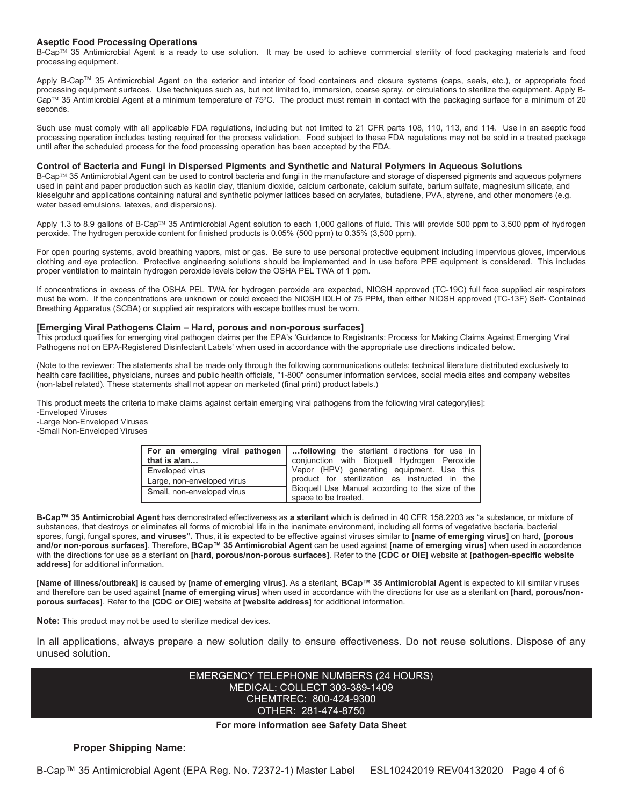#### **Aseptic Food Processing Operations**

B-Cap™ 35 Antimicrobial Agent is a ready to use solution. It may be used to achieve commercial sterility of food packaging materials and food processing equipment.

Apply B-Cap™ 35 Antimicrobial Agent on the exterior and interior of food containers and closure systems (caps, seals, etc.), or appropriate food processing equipment surfaces. Use techniques such as, but not limited to, immersion, coarse spray, or circulations to sterilize the equipment. Apply B-Cap™ 35 Antimicrobial Agent at a minimum temperature of 75°C. The product must remain in contact with the packaging surface for a minimum of 20 seconds.

Such use must comply with all applicable FDA regulations, including but not limited to 21 CFR parts 108, 110, 113, and 114. Use in an aseptic food processing operation includes testing required for the process validation. Food subject to these FDA regulations may not be sold in a treated package until after the scheduled process for the food processing operation has been accepted by the FDA.

#### **Control of Bacteria and Fungi in Dispersed Pigments and Synthetic and Natural Polymers in Aqueous Solutions**

B-Cap™ 35 Antimicrobial Agent can be used to control bacteria and fungi in the manufacture and storage of dispersed pigments and aqueous polymers used in paint and paper production such as kaolin clay, titanium dioxide, calcium carbonate, calcium sulfate, barium sulfate, magnesium silicate, and kieselguhr and applications containing natural and synthetic polymer lattices based on acrylates, butadiene, PVA, styrene, and other monomers (e.g. water based emulsions, latexes, and dispersions).

Apply 1.3 to 8.9 gallons of B-Cap<sup>TM</sup> 35 Antimicrobial Agent solution to each 1,000 gallons of fluid. This will provide 500 ppm to 3,500 ppm of hydrogen peroxide. The hydrogen peroxide content for finished products is 0.05% (500 ppm) to 0.35% (3,500 ppm).

For open pouring systems, avoid breathing vapors, mist or gas. Be sure to use personal protective equipment including impervious gloves, impervious clothing and eye protection. Protective engineering solutions should be implemented and in use before PPE equipment is considered. This includes proper ventilation to maintain hydrogen peroxide levels below the OSHA PEL TWA of 1 ppm.

If concentrations in excess of the OSHA PEL TWA for hydrogen peroxide are expected, NIOSH approved (TC-19C) full face supplied air respirators must be worn. If the concentrations are unknown or could exceed the NIOSH IDLH of 75 PPM, then either NIOSH approved (TC-13F) Self- Contained Breathing Apparatus (SCBA) or supplied air respirators with escape bottles must be worn.

#### **[Emerging Viral Pathogens Claim – Hard, porous and non-porous surfaces]**

This product qualifies for emerging viral pathogen claims per the EPA's 'Guidance to Registrants: Process for Making Claims Against Emerging Viral Pathogens not on EPA-Registered Disinfectant Labels' when used in accordance with the appropriate use directions indicated below.

(Note to the reviewer: The statements shall be made only through the following communications outlets: technical literature distributed exclusively to health care facilities, physicians, nurses and public health officials, "1-800" consumer information services, social media sites and company websites (non-label related). These statements shall not appear on marketed (final print) product labels.)

This product meets the criteria to make claims against certain emerging viral pathogens from the following viral category[ies]: -Enveloped Viruses

-Large Non-Enveloped Viruses

-Small Non-Enveloped Viruses

| For an emerging viral pathogen | following the sterilant directions for use in                                                                                                    |  |
|--------------------------------|--------------------------------------------------------------------------------------------------------------------------------------------------|--|
| that is a/an                   | conjunction with Bioquell Hydrogen Peroxide                                                                                                      |  |
| <b>Enveloped virus</b>         | Vapor (HPV) generating equipment. Use this<br>product for sterilization as instructed in the<br>Bioquell Use Manual according to the size of the |  |
| Large, non-enveloped virus     |                                                                                                                                                  |  |
| Small, non-enveloped virus     |                                                                                                                                                  |  |
|                                | space to be treated.                                                                                                                             |  |

**B-Cap 35 Antimicrobial Agent** has demonstrated effectiveness as **a sterilant** which is defined in 40 CFR 158.2203 as "a substance, or mixture of substances, that destroys or eliminates all forms of microbial life in the inanimate environment, including all forms of vegetative bacteria, bacterial spores, fungi, fungal spores, **and viruses".** Thus, it is expected to be effective against viruses similar to **[name of emerging virus]** on hard, **[porous and/or non-porous surfaces]**. Therefore, **BCap 35 Antimicrobial Agent** can be used against **[name of emerging virus]** when used in accordance with the directions for use as a sterilant on **[hard, porous/non-porous surfaces]**. Refer to the **[CDC or OIE]** website at **[pathogen-specific website address]** for additional information.

**[Name of illness/outbreak]** is caused by **[name of emerging virus].** As a sterilant, **BCap 35 Antimicrobial Agent** is expected to kill similar viruses and therefore can be used against **[name of emerging virus]** when used in accordance with the directions for use as a sterilant on **[hard, porous/nonporous surfaces]**. Refer to the **[CDC or OIE]** website at **[website address]** for additional information.

**Note:** This product may not be used to sterilize medical devices.

In all applications, always prepare a new solution daily to ensure effectiveness. Do not reuse solutions. Dispose of any unused solution.

#### EMERGENCY TELEPHONE NUMBERS (24 HOURS) MEDICAL: COLLECT 303-389-1409 CHEMTREC: 800-424-9300 OTHER: 281-474-8750

#### **For more information see Safety Data Sheet**

#### **Proper Shipping Name:**